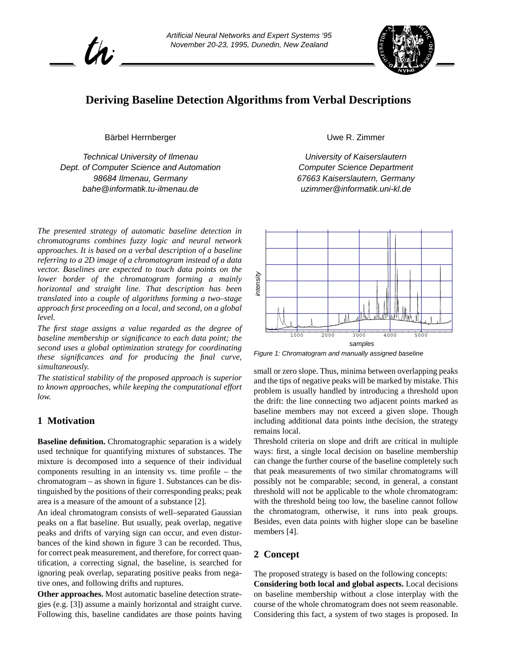



# **Deriving Baseline Detection Algorithms from Verbal Descriptions**

Bärbel Herrnberger

*Technical University of Ilmenau Dept. of Computer Science and Automation 98684 Ilmenau, Germany bahe@informatik.tu-ilmenau.de*

*The presented strategy of automatic baseline detection in chromatograms combines fuzzy logic and neural network approaches. It is based on a verbal description of a baseline referring to a 2D image of a chromatogram instead of a data vector. Baselines are expected to touch data points on the lower border of the chromatogram forming a mainly horizontal and straight line. That description has been translated into a couple of algorithms forming a two–stage approach first proceeding on a local, and second, on a global level.*

*The first stage assigns a value regarded as the degree of baseline membership or significance to each data point; the second uses a global optimization strategy for coordinating these significances and for producing the final curve, simultaneously.*

*The statistical stability of the proposed approach is superior to known approaches, while keeping the computational effort low.*

# **1 Motivation**

**Baseline definition.** Chromatographic separation is a widely used technique for quantifying mixtures of substances. The mixture is decomposed into a sequence of their individual components resulting in an intensity vs. time profile – the chromatogram – as shown in figure 1. Substances can be distinguished by the positions of their corresponding peaks; peak area is a measure of the amount of a substance [\[2\].](#page-4-0)

An ideal chromatogram consists of well–separated Gaussian peaks on a flat baseline. But usually, peak overlap, negative peaks and drifts of varying sign can occur, and even disturbances of the kind shown in [figure 3](#page-1-0) can be recorded. Thus, for correct peak measurement, and therefore, for correct quantification, a correcting signal, the baseline, is searched for ignoring peak overlap, separating positive peaks from negative ones, and following drifts and ruptures.

**Other approaches.** Most automatic baseline detection strategies (e.g. [\[3\]](#page-4-0)) assume a mainly horizontal and straight curve. Following this, baseline candidates are those points having Uwe R. Zimmer

*University of Kaiserslautern Computer Science Department 67663 Kaiserslautern, Germany uzimmer@informatik.uni-kl.de*



*Figure 1: Chromatogram and manually assigned baseline*

small or zero slope. Thus, minima between overlapping peaks and the tips of negative peaks will be marked by mistake. This problem is usually handled by introducing a threshold upon the drift: the line connecting two adjacent points marked as baseline members may not exceed a given slope. Though including additional data points inthe decision, the strategy remains local.

Threshold criteria on slope and drift are critical in multiple ways: first, a single local decision on baseline membership can change the further course of the baseline completely such that peak measurements of two similar chromatograms will possibly not be comparable; second, in general, a constant threshold will not be applicable to the whole chromatogram: with the threshold being too low, the baseline cannot follow the chromatogram, otherwise, it runs into peak groups. Besides, even data points with higher slope can be baseline members [\[4\]](#page-4-0). For the considering the system of two stages is proposed. The proposed stage is considering the consideration of the proposed is a system of the difference proposed. This minima between overlapping peaks and the tips of ne

# **2 Concept**

The proposed strategy is based on the following concepts:

**Considering both local and global aspects.** Local decisions on baseline membership without a close interplay with the course of the whole chromatogram does not seem reasonable.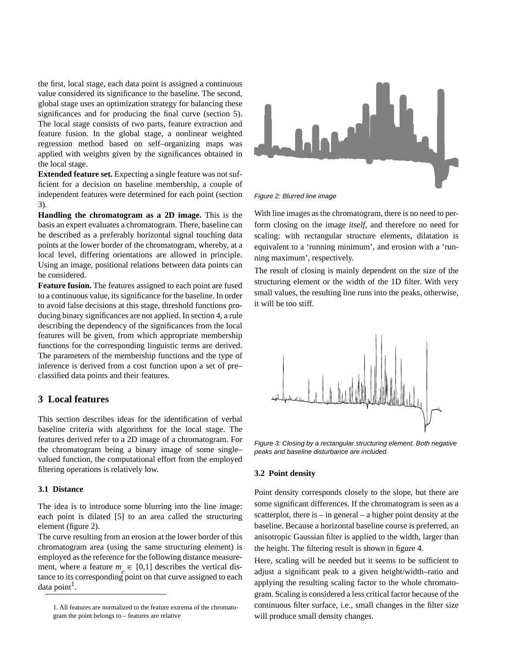<span id="page-1-0"></span>the first, local stage, each data point is assigned a continuous value considered its significance to the baseline. The second, global stage uses an optimization strategy for balancing these significances and for producing the final curve [\(section 5\)](#page-3-0). The local stage consists of two parts, feature extraction and feature fusion. In the global stage, a nonlinear weighted regression method based on self–organizing maps was applied with weights given by the significances obtained in the local stage.

**Extended feature set.** Expecting a single feature was not sufficient for a decision on baseline membership, a couple of independent features were determined for each point (section 3).

**Handling the chromatogram as a 2D image.** This is the basis an expert evaluates a chromatogram. There, baseline can be described as a preferably horizontal signal touching data points at the lower border of the chromatogram, whereby, at a local level, differing orientations are allowed in principle. Using an image, positional relations between data points can be considered.

**Feature fusion.** The features assigned to each point are fused to a continuous value, its significance for the baseline. In order to avoid false decisions at this stage, threshold functions producing binary significances are not applied. In [section 4](#page-2-0), a rule describing the dependency of the significances from the local features will be given, from which appropriate membership functions for the corresponding linguistic terms are derived. The parameters of the membership functions and the type of inference is derived from a cost function upon a set of pre– classified data points and their features.

# **3 Local features**

This section describes ideas for the identification of verbal baseline criteria with algorithms for the local stage. The features derived refer to a 2D image of a chromatogram. For the chromatogram being a binary image of some single– valued function, the computational effort from the employed filtering operations is relatively low.

#### **3.1 Distance**

The idea is to introduce some blurring into the line image: each point is dilated [\[5\]](#page-4-0) to an area called the structuring element (figure 2).

The curve resulting from an erosion at the lower border of this chromatogram area (using the same structuring element) is employed as the reference for the following distance measurement, where a feature  $m_c \in [0,1]$  describes the vertical distance to its corresponding point on that curve assigned to each  $data$  point<sup>1</sup>.



*Figure 2: Blurred line image*

With line images as the chromatogram, there is no need to perform closing on the image *itself*, and therefore no need for scaling: with rectangular structure elements, dilatation is equivalent to a 'running minimum', and erosion with a 'running maximum', respectively.

The result of closing is mainly dependent on the size of the structuring element or the width of the 1D filter. With very small values, the resulting line runs into the peaks, otherwise, it will be too stiff.



*Figure 3: Closing by a rectangular structuring element. Both negative peaks and baseline disturbance are included.*

#### **3.2 Point density**

Point density corresponds closely to the slope, but there are some significant differences. If the chromatogram is seen as a scatterplot, there is  $-$  in general  $-$  a higher point density at the baseline. Because a horizontal baseline course is preferred, an anisotropic Gaussian filter is applied to the width, larger than the height. The filtering result is shown in [figure 4](#page-2-0).

Here, scaling will be needed but it seems to be sufficient to adjust a significant peak to a given height/width–ratio and applying the resulting scaling factor to the whole chromatogram. Scaling is considered a less critical factor because of the continuous filter surface, i.e., small changes in the filter size will produce small density changes.

<sup>1.</sup> All features are normalized to the feature extrema of the chromatogram the point belongs to – features are relative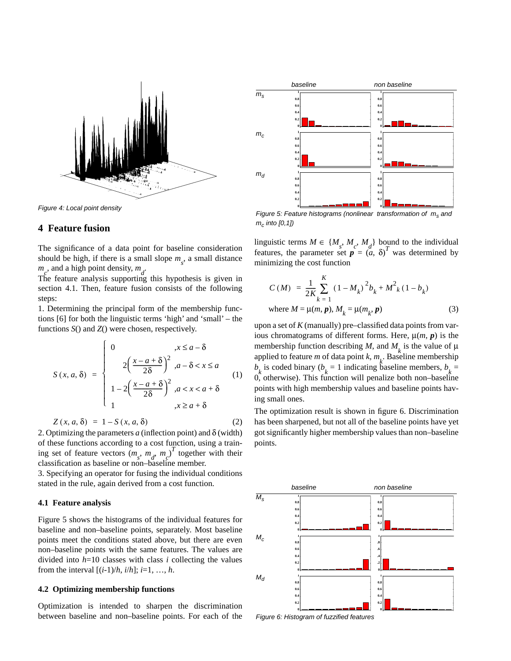<span id="page-2-0"></span>

*Figure 4: Local point density*

#### **4 Feature fusion**

The significance of a data point for baseline consideration should be high, if there is a small slope  $m<sub>s</sub>$ , a small distance  $m_c$ , and a high point density,  $m_d$ .

The feature analysis supporting this hypothesis is given in section 4.1. Then, feature fusion consists of the following steps:

1. Determining the principal form of the membership functions [\[6\]](#page-4-0) for both the linguistic terms 'high' and 'small' – the functions *S*() and *Z*() were chosen, respectively.

$$
S(x, a, \delta) = \begin{cases} 0 & ,x \leq a - \delta \\ 2\left(\frac{x - a + \delta}{2\delta}\right)^2, a - \delta < x \leq a \\ 1 - 2\left(\frac{x - a + \delta}{2\delta}\right)^2, a < x < a + \delta \\ 1 & ,x \geq a + \delta \end{cases} \tag{1}
$$

$$
Z(x, a, \delta) = 1 - S(x, a, \delta) \tag{2}
$$

2. Optimizing the parameters  $a$  (inflection point) and  $\delta$  (width) of these functions according to a cost function, using a training set of feature vectors  $(m_s, m_d, m_c)^T$  together with their classification as baseline or non–baseline member.

3. Specifying an operator for fusing the individual conditions stated in the rule, again derived from a cost function.

#### **4.1 Feature analysis**

Figure 5 shows the histograms of the individual features for baseline and non–baseline points, separately. Most baseline points meet the conditions stated above, but there are even non–baseline points with the same features. The values are divided into  $h=10$  classes with class *i* collecting the values from the interval  $[(i-1)/h, i/h]$ ;  $i=1, ..., h$ .

#### **4.2 Optimizing membership functions**

Optimization is intended to sharpen the discrimination between baseline and non–baseline points. For each of the



*mc into [0,1])*

linguistic terms  $M \in \{M_s, M_c, M_d\}$  bound to the individual features, the parameter set  $p = \begin{pmatrix} a' \\ a' \end{pmatrix}$  was determined by minimizing the cost function

$$
C(M) = \frac{1}{2K} \sum_{k=1}^{K} (1 - M_k)^2 b_k + M^2 k (1 - b_k)
$$
  
where  $M = \mu(m, p), M_k = \mu(m_k, p)$  (3)

upon a set of *K* (manually) pre–classified data points from various chromatograms of different forms. Here,  $\mu(m, p)$  is the membership function describing *M*, and  $M_k$  is the value of  $\mu$ applied to feature *m* of data point *k*,  $m_k$ . Baseline membership  $b_k$  is coded binary ( $b_k = 1$  indicating baseline members,  $b_k =$ 0, otherwise). This function will penalize both non–baseline points with high membership values and baseline points having small ones.

The optimization result is shown in figure 6. Discrimination has been sharpened, but not all of the baseline points have yet got significantly higher membership values than non–baseline points.



*Figure 6: Histogram of fuzzified features*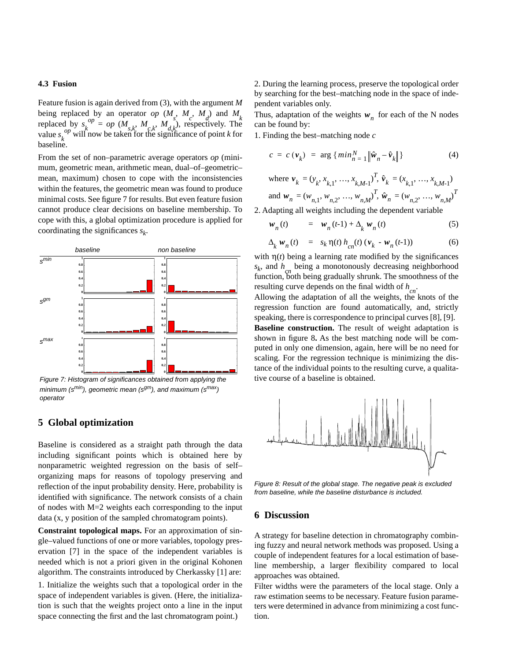#### <span id="page-3-0"></span>**4.3 Fusion**

Feature fusion is again derived from [\(3\)](#page-2-0), with the argument *M* being replaced by an operator *op*  $(M_s, M_c, M_d)$  and  $M_k$ replaced by  $s_k^{op} = op \left( M_{s,k}, M_{c,k}, M_{d,k} \right)$ , respectively. The value  $s_k^{op}$  will now be taken for the significance of point *k* for baseline.

From the set of non–parametric average operators *op* (minimum, geometric mean, arithmetic mean, dual–of–geometric– mean, maximum) chosen to cope with the inconsistencies within the features, the geometric mean was found to produce minimal costs. See figure 7 for results. But even feature fusion cannot produce clear decisions on baseline membership. To cope with this, a global optimization procedure is applied for coordinating the significances  $s_k$ .



*Figure 7: Histogram of significances obtained from applying the minimum (s<sup>min</sup>), geometric mean (s<sup>gm</sup>), and maximum (s<sup>max</sup>) operator*

### **5 Global optimization**

Baseline is considered as a straight path through the data including significant points which is obtained here by nonparametric weighted regression on the basis of self– organizing maps for reasons of topology preserving and reflection of the input probability density. Here, probability is identified with significance. The network consists of a chain of nodes with M=2 weights each corresponding to the input data (x, y position of the sampled chromatogram points).

**Constraint topological maps.** For an approximation of single–valued functions of one or more variables, topology preservation [\[7\]](#page-4-0) in the space of the independent variables is needed which is not a priori given in the original Kohonen algorithm. The constraints introduced by Cherkassky [\[1\]](#page-4-0) are:

1. Initialize the weights such that a topological order in the space of independent variables is given. (Here, the initialization is such that the weights project onto a line in the input space connecting the first and the last chromatogram point.)

2. During the learning process, preserve the topological order by searching for the best–matching node in the space of independent variables only.

Thus, adaptation of the weights  $w_n$  for each of the N nodes can be found by:

1. Finding the best–matching node *c*

$$
c = c \left( \mathbf{v}_k \right) = \arg \left\{ \min_{n=1}^N \left\| \hat{\mathbf{w}}_n - \hat{\mathbf{v}}_k \right\| \right\} \tag{4}
$$

where 
$$
\mathbf{v}_k = (y_k, x_{k,1}, ..., x_{k,M-1})^T
$$
,  $\hat{\mathbf{v}}_k = (x_{k,1}, ..., x_{k,M-1})$   
and  $\mathbf{w}_n = (w_{n,1}, w_{n,2}, ..., w_{n,M})^T$ ,  $\hat{\mathbf{w}}_n = (w_{n,2}, ..., w_{n,M})^T$ 

2. Adapting all weights including the dependent variable

$$
w_n(t) = w_n(t-1) + \Delta_k w_n(t) \tag{5}
$$

$$
\Delta_{k} \mathbf{w}_{n}(t) = s_{k} \eta(t) h_{cn}(t) (\mathbf{v}_{k} - \mathbf{w}_{n}(t-1)) \tag{6}
$$

with  $\eta(t)$  being a learning rate modified by the significances  $s_k$ , and  $h_k$  being a monotonously decreasing neighborhood function, both being gradually shrunk. The smoothness of the resulting curve depends on the final width of  $h_{cn}$ .

Allowing the adaptation of all the weights, the knots of the regression function are found automatically, and, strictly speaking, there is correspondence to principal curves [\[8\]](#page-4-0), [\[9\]](#page-4-0).

**Baseline construction.** The result of weight adaptation is shown in figure 8**.** As the best matching node will be computed in only one dimension, again, here will be no need for scaling. For the regression technique is minimizing the distance of the individual points to the resulting curve, a qualitative course of a baseline is obtained.



*Figure 8: Result of the global stage. The negative peak is excluded from baseline, while the baseline disturbance is included.*

## **6 Discussion**

A strategy for baseline detection in chromatography combining fuzzy and neural network methods was proposed. Using a couple of independent features for a local estimation of baseline membership, a larger flexibility compared to local approaches was obtained.

Filter widths were the parameters of the local stage. Only a raw estimation seems to be necessary. Feature fusion parameters were determined in advance from minimizing a cost function.